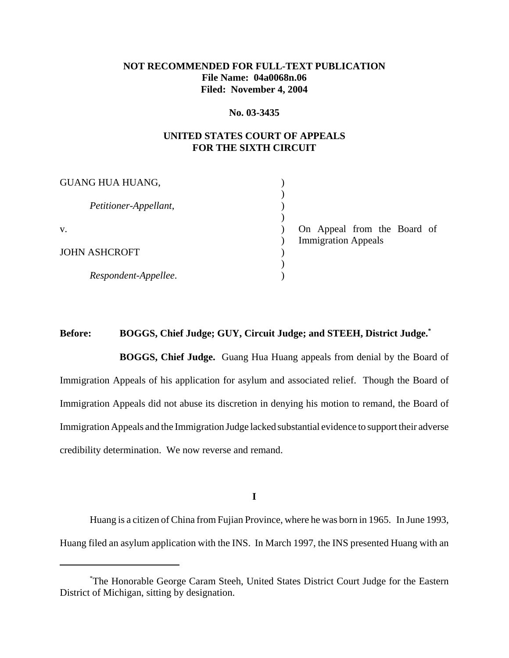## **NOT RECOMMENDED FOR FULL-TEXT PUBLICATION File Name: 04a0068n.06 Filed: November 4, 2004**

#### **No. 03-3435**

## **UNITED STATES COURT OF APPEALS FOR THE SIXTH CIRCUIT**

| <b>GUANG HUA HUANG,</b> |                             |
|-------------------------|-----------------------------|
|                         |                             |
| Petitioner-Appellant,   |                             |
|                         |                             |
| V.                      | On Appeal from the Board of |
|                         | <b>Immigration Appeals</b>  |
| <b>JOHN ASHCROFT</b>    |                             |
|                         |                             |
| Respondent-Appellee.    |                             |

# **Before: BOGGS, Chief Judge; GUY, Circuit Judge; and STEEH, District Judge.\***

**BOGGS, Chief Judge.** Guang Hua Huang appeals from denial by the Board of Immigration Appeals of his application for asylum and associated relief. Though the Board of Immigration Appeals did not abuse its discretion in denying his motion to remand, the Board of Immigration Appeals and the Immigration Judge lacked substantial evidence to support their adverse credibility determination. We now reverse and remand.

**I**

Huang is a citizen of China from Fujian Province, where he was born in 1965. In June 1993, Huang filed an asylum application with the INS. In March 1997, the INS presented Huang with an

<sup>\*</sup> The Honorable George Caram Steeh, United States District Court Judge for the Eastern District of Michigan, sitting by designation.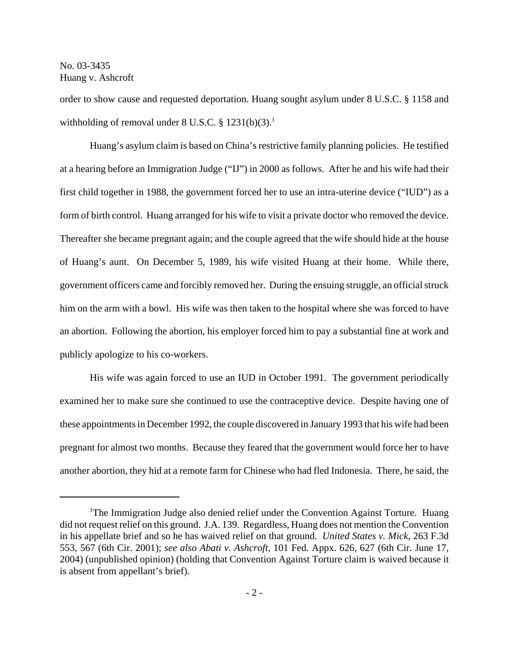order to show cause and requested deportation. Huang sought asylum under 8 U.S.C. § 1158 and withholding of removal under  $8 \text{ U.S.C.}$  §  $1231(b)(3)$ .<sup>1</sup>

Huang's asylum claim is based on China's restrictive family planning policies. He testified at a hearing before an Immigration Judge ("IJ") in 2000 as follows. After he and his wife had their first child together in 1988, the government forced her to use an intra-uterine device ("IUD") as a form of birth control. Huang arranged for his wife to visit a private doctor who removed the device. Thereafter she became pregnant again; and the couple agreed that the wife should hide at the house of Huang's aunt. On December 5, 1989, his wife visited Huang at their home. While there, government officers came and forcibly removed her. During the ensuing struggle, an official struck him on the arm with a bowl. His wife was then taken to the hospital where she was forced to have an abortion. Following the abortion, his employer forced him to pay a substantial fine at work and publicly apologize to his co-workers.

His wife was again forced to use an IUD in October 1991. The government periodically examined her to make sure she continued to use the contraceptive device. Despite having one of these appointments in December 1992, the couple discovered in January 1993 that his wife had been pregnant for almost two months. Because they feared that the government would force her to have another abortion, they hid at a remote farm for Chinese who had fled Indonesia. There, he said, the

<sup>&</sup>lt;sup>1</sup>The Immigration Judge also denied relief under the Convention Against Torture. Huang did not request relief on this ground. J.A. 139. Regardless, Huang does not mention the Convention in his appellate brief and so he has waived relief on that ground. *United States v. Mick*, 263 F.3d 553, 567 (6th Cir. 2001); *see also Abati v. Ashcroft*, 101 Fed. Appx. 626, 627 (6th Cir. June 17, 2004) (unpublished opinion) (holding that Convention Against Torture claim is waived because it is absent from appellant's brief)*.*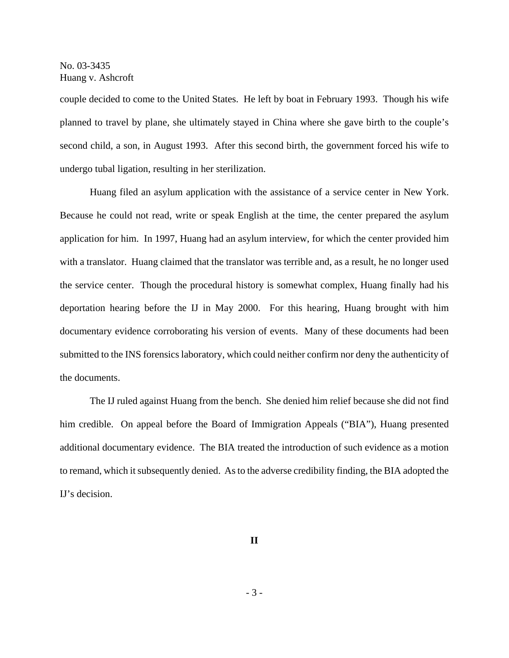couple decided to come to the United States. He left by boat in February 1993. Though his wife planned to travel by plane, she ultimately stayed in China where she gave birth to the couple's second child, a son, in August 1993. After this second birth, the government forced his wife to undergo tubal ligation, resulting in her sterilization.

Huang filed an asylum application with the assistance of a service center in New York. Because he could not read, write or speak English at the time, the center prepared the asylum application for him. In 1997, Huang had an asylum interview, for which the center provided him with a translator. Huang claimed that the translator was terrible and, as a result, he no longer used the service center. Though the procedural history is somewhat complex, Huang finally had his deportation hearing before the IJ in May 2000. For this hearing, Huang brought with him documentary evidence corroborating his version of events. Many of these documents had been submitted to the INS forensics laboratory, which could neither confirm nor deny the authenticity of the documents.

The IJ ruled against Huang from the bench. She denied him relief because she did not find him credible. On appeal before the Board of Immigration Appeals ("BIA"), Huang presented additional documentary evidence. The BIA treated the introduction of such evidence as a motion to remand, which it subsequently denied. As to the adverse credibility finding, the BIA adopted the IJ's decision.

**II**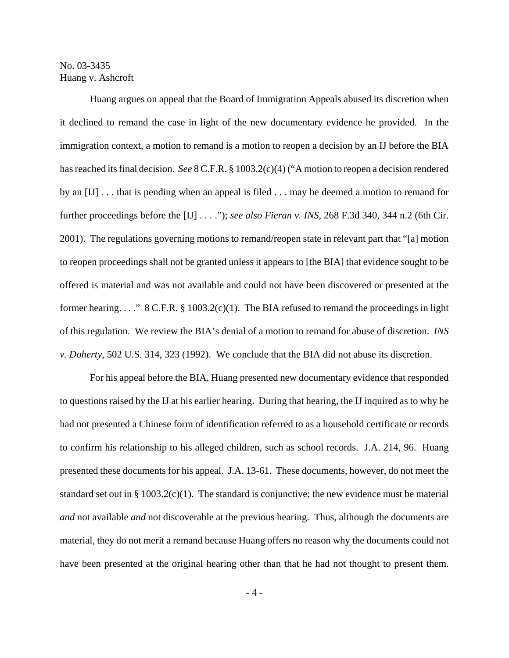Huang argues on appeal that the Board of Immigration Appeals abused its discretion when it declined to remand the case in light of the new documentary evidence he provided. In the immigration context, a motion to remand is a motion to reopen a decision by an IJ before the BIA has reached its final decision. *See* 8 C.F.R. § 1003.2(c)(4) ("A motion to reopen a decision rendered by an [IJ] . . . that is pending when an appeal is filed . . . may be deemed a motion to remand for further proceedings before the [IJ] . . . ."); *see also Fieran v. INS*, 268 F.3d 340, 344 n.2 (6th Cir. 2001). The regulations governing motions to remand/reopen state in relevant part that "[a] motion to reopen proceedings shall not be granted unless it appears to [the BIA] that evidence sought to be offered is material and was not available and could not have been discovered or presented at the former hearing. . . . "  $8 \text{ C.F.R.}$   $\S 1003.2(c)(1)$ . The BIA refused to remand the proceedings in light of this regulation. We review the BIA's denial of a motion to remand for abuse of discretion. *INS v. Doherty*, 502 U.S. 314, 323 (1992). We conclude that the BIA did not abuse its discretion.

For his appeal before the BIA, Huang presented new documentary evidence that responded to questions raised by the IJ at his earlier hearing. During that hearing, the IJ inquired as to why he had not presented a Chinese form of identification referred to as a household certificate or records to confirm his relationship to his alleged children, such as school records. J.A. 214, 96. Huang presented these documents for his appeal. J.A. 13-61. These documents, however, do not meet the standard set out in § 1003.2(c)(1). The standard is conjunctive; the new evidence must be material *and* not available *and* not discoverable at the previous hearing. Thus, although the documents are material, they do not merit a remand because Huang offers no reason why the documents could not have been presented at the original hearing other than that he had not thought to present them.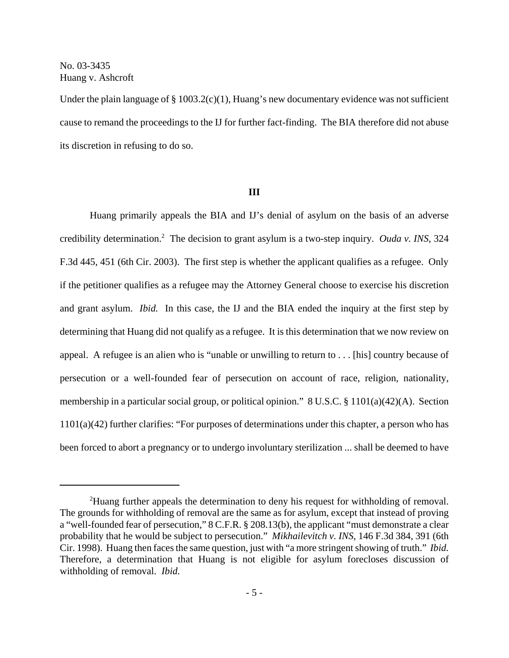Under the plain language of  $\S 1003.2(c)(1)$ , Huang's new documentary evidence was not sufficient cause to remand the proceedings to the IJ for further fact-finding. The BIA therefore did not abuse its discretion in refusing to do so.

#### **III**

Huang primarily appeals the BIA and IJ's denial of asylum on the basis of an adverse credibility determination.2 The decision to grant asylum is a two-step inquiry. *Ouda v. INS*, 324 F.3d 445, 451 (6th Cir. 2003). The first step is whether the applicant qualifies as a refugee. Only if the petitioner qualifies as a refugee may the Attorney General choose to exercise his discretion and grant asylum. *Ibid.* In this case, the IJ and the BIA ended the inquiry at the first step by determining that Huang did not qualify as a refugee. It is this determination that we now review on appeal. A refugee is an alien who is "unable or unwilling to return to . . . [his] country because of persecution or a well-founded fear of persecution on account of race, religion, nationality, membership in a particular social group, or political opinion." 8 U.S.C. § 1101(a)(42)(A). Section 1101(a)(42) further clarifies: "For purposes of determinations under this chapter, a person who has been forced to abort a pregnancy or to undergo involuntary sterilization ... shall be deemed to have

<sup>&</sup>lt;sup>2</sup>Huang further appeals the determination to deny his request for withholding of removal. The grounds for withholding of removal are the same as for asylum, except that instead of proving a "well-founded fear of persecution," 8 C.F.R. § 208.13(b), the applicant "must demonstrate a clear probability that he would be subject to persecution." *Mikhailevitch v. INS*, 146 F.3d 384, 391 (6th Cir. 1998). Huang then faces the same question, just with "a more stringent showing of truth." *Ibid.* Therefore, a determination that Huang is not eligible for asylum forecloses discussion of withholding of removal. *Ibid.*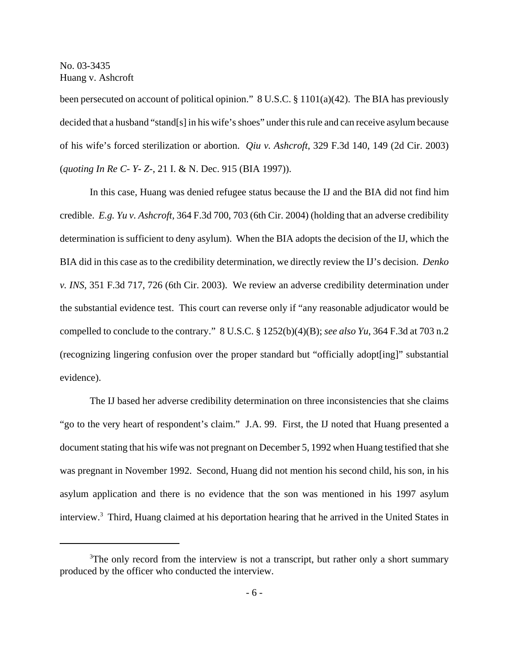been persecuted on account of political opinion." 8 U.S.C.  $\S 1101(a)(42)$ . The BIA has previously decided that a husband "stand[s] in his wife's shoes" under this rule and can receive asylum because of his wife's forced sterilization or abortion. *Qiu v. Ashcroft*, 329 F.3d 140, 149 (2d Cir. 2003) (*quoting In Re C- Y- Z-*, 21 I. & N. Dec. 915 (BIA 1997)).

In this case, Huang was denied refugee status because the IJ and the BIA did not find him credible. *E.g. Yu v. Ashcroft*, 364 F.3d 700, 703 (6th Cir. 2004) (holding that an adverse credibility determination is sufficient to deny asylum). When the BIA adopts the decision of the IJ, which the BIA did in this case as to the credibility determination, we directly review the IJ's decision. *Denko v. INS*, 351 F.3d 717, 726 (6th Cir. 2003). We review an adverse credibility determination under the substantial evidence test. This court can reverse only if "any reasonable adjudicator would be compelled to conclude to the contrary." 8 U.S.C. § 1252(b)(4)(B); *see also Yu*, 364 F.3d at 703 n.2 (recognizing lingering confusion over the proper standard but "officially adopt[ing]" substantial evidence).

The IJ based her adverse credibility determination on three inconsistencies that she claims "go to the very heart of respondent's claim." J.A. 99. First, the IJ noted that Huang presented a document stating that his wife was not pregnant on December 5, 1992 when Huang testified that she was pregnant in November 1992. Second, Huang did not mention his second child, his son, in his asylum application and there is no evidence that the son was mentioned in his 1997 asylum interview.3 Third, Huang claimed at his deportation hearing that he arrived in the United States in

<sup>&</sup>lt;sup>3</sup>The only record from the interview is not a transcript, but rather only a short summary produced by the officer who conducted the interview.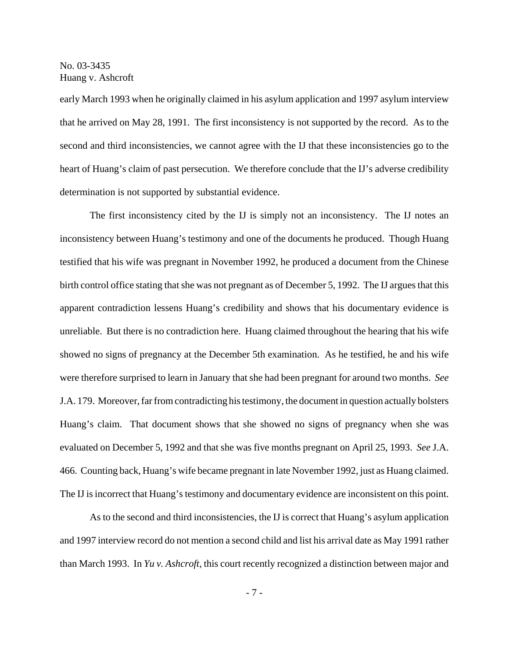early March 1993 when he originally claimed in his asylum application and 1997 asylum interview that he arrived on May 28, 1991. The first inconsistency is not supported by the record. As to the second and third inconsistencies, we cannot agree with the IJ that these inconsistencies go to the heart of Huang's claim of past persecution. We therefore conclude that the IJ's adverse credibility determination is not supported by substantial evidence.

The first inconsistency cited by the IJ is simply not an inconsistency. The IJ notes an inconsistency between Huang's testimony and one of the documents he produced. Though Huang testified that his wife was pregnant in November 1992, he produced a document from the Chinese birth control office stating that she was not pregnant as of December 5, 1992. The IJ argues that this apparent contradiction lessens Huang's credibility and shows that his documentary evidence is unreliable. But there is no contradiction here. Huang claimed throughout the hearing that his wife showed no signs of pregnancy at the December 5th examination. As he testified, he and his wife were therefore surprised to learn in January that she had been pregnant for around two months. *See* J.A. 179. Moreover, far from contradicting his testimony, the document in question actually bolsters Huang's claim. That document shows that she showed no signs of pregnancy when she was evaluated on December 5, 1992 and that she was five months pregnant on April 25, 1993. *See* J.A. 466. Counting back, Huang's wife became pregnant in late November 1992, just as Huang claimed. The IJ is incorrect that Huang's testimony and documentary evidence are inconsistent on this point.

As to the second and third inconsistencies, the IJ is correct that Huang's asylum application and 1997 interview record do not mention a second child and list his arrival date as May 1991 rather than March 1993. In *Yu v. Ashcroft*, this court recently recognized a distinction between major and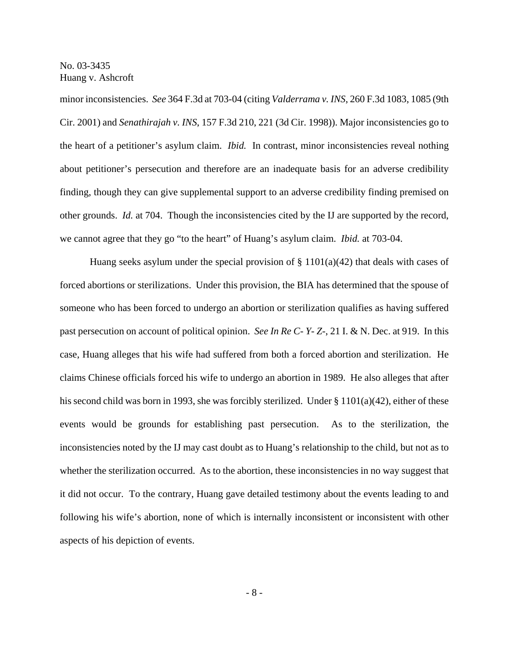minor inconsistencies. *See* 364 F.3d at 703-04 (citing *Valderrama v. INS*, 260 F.3d 1083, 1085 (9th Cir. 2001) and *Senathirajah v. INS*, 157 F.3d 210, 221 (3d Cir. 1998)). Major inconsistencies go to the heart of a petitioner's asylum claim. *Ibid.* In contrast, minor inconsistencies reveal nothing about petitioner's persecution and therefore are an inadequate basis for an adverse credibility finding, though they can give supplemental support to an adverse credibility finding premised on other grounds. *Id.* at 704. Though the inconsistencies cited by the IJ are supported by the record, we cannot agree that they go "to the heart" of Huang's asylum claim. *Ibid.* at 703-04.

Huang seeks asylum under the special provision of  $\S$  1101(a)(42) that deals with cases of forced abortions or sterilizations. Under this provision, the BIA has determined that the spouse of someone who has been forced to undergo an abortion or sterilization qualifies as having suffered past persecution on account of political opinion. *See In Re C- Y- Z-*, 21 I. & N. Dec. at 919. In this case, Huang alleges that his wife had suffered from both a forced abortion and sterilization. He claims Chinese officials forced his wife to undergo an abortion in 1989. He also alleges that after his second child was born in 1993, she was forcibly sterilized. Under § 1101(a)(42), either of these events would be grounds for establishing past persecution. As to the sterilization, the inconsistencies noted by the IJ may cast doubt as to Huang's relationship to the child, but not as to whether the sterilization occurred. As to the abortion, these inconsistencies in no way suggest that it did not occur. To the contrary, Huang gave detailed testimony about the events leading to and following his wife's abortion, none of which is internally inconsistent or inconsistent with other aspects of his depiction of events.